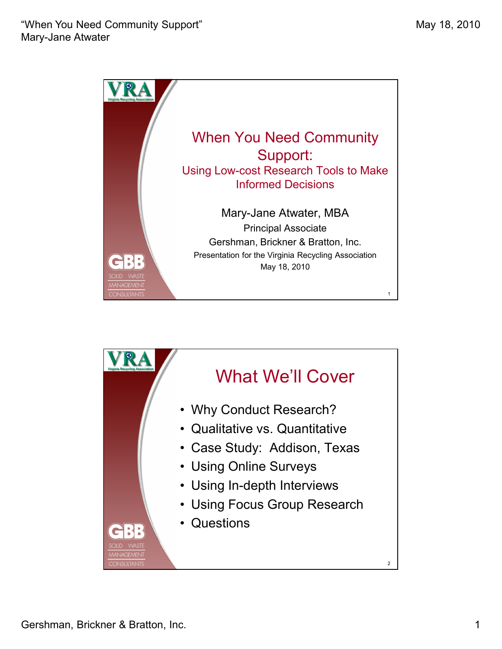

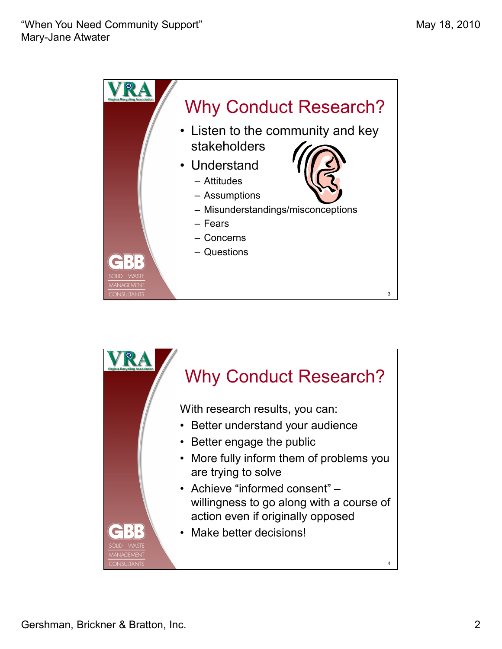

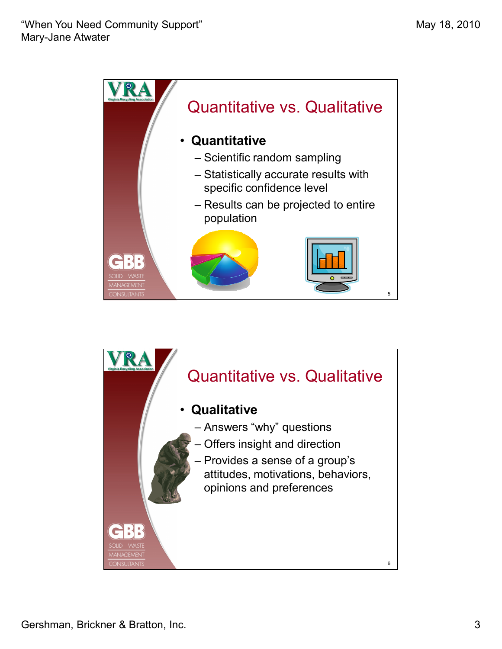

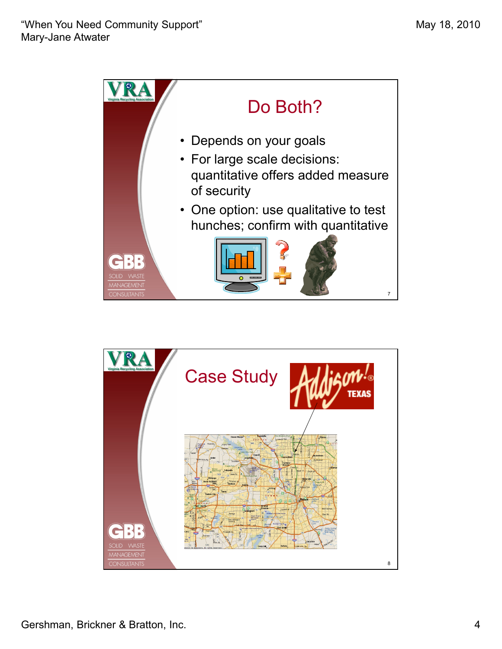



Gershman, Brickner & Bratton, Inc. 4 and 2008 and 2008 and 2008 and 2008 and 2008 and 2008 and 2008 and 2008 and 2008 and 2008 and 2008 and 2008 and 2008 and 2008 and 2008 and 2008 and 2008 and 2008 and 2008 and 2008 and 2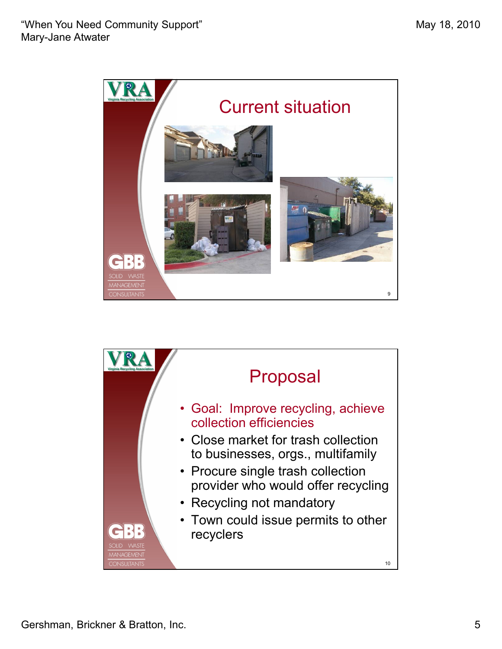

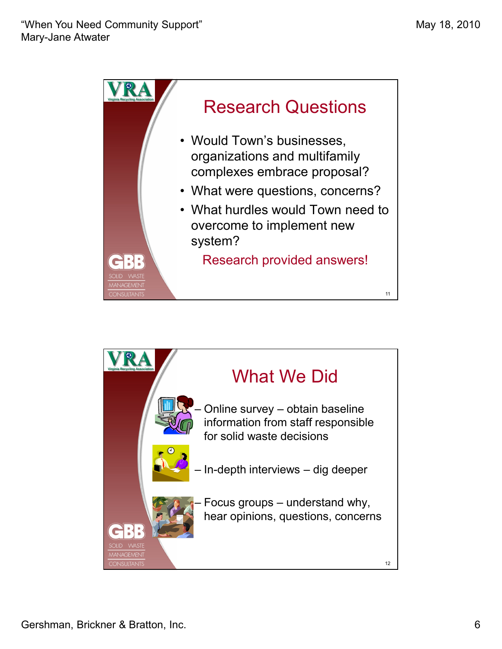

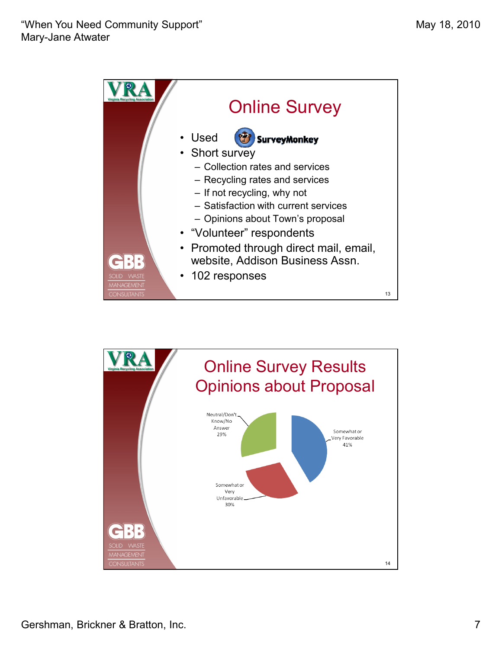

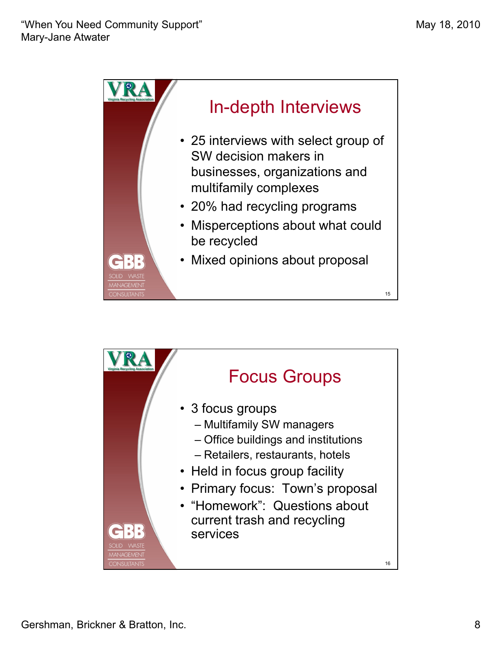

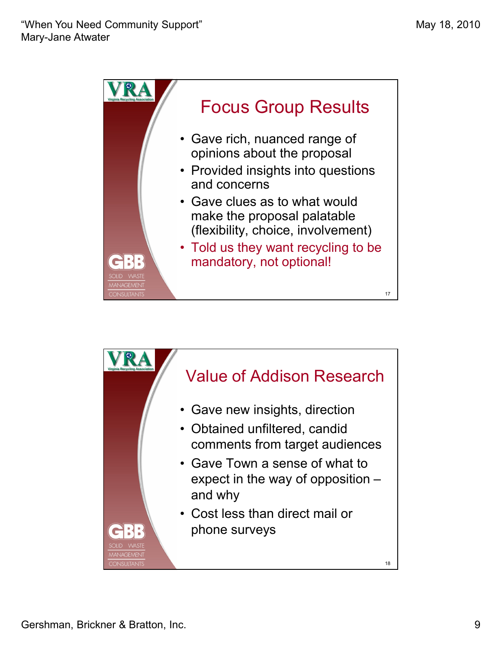

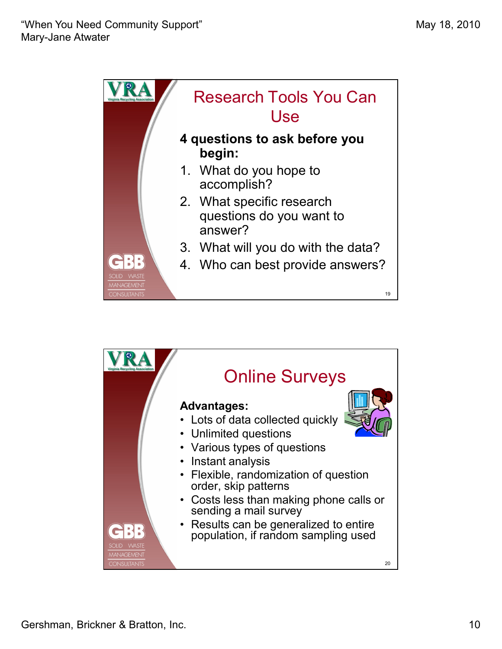

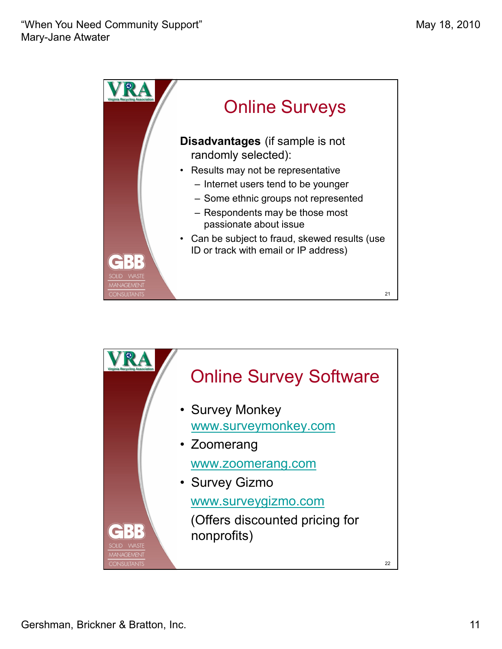

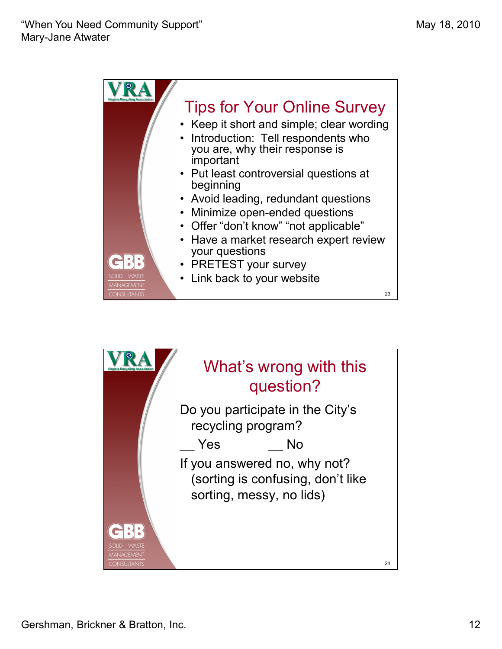

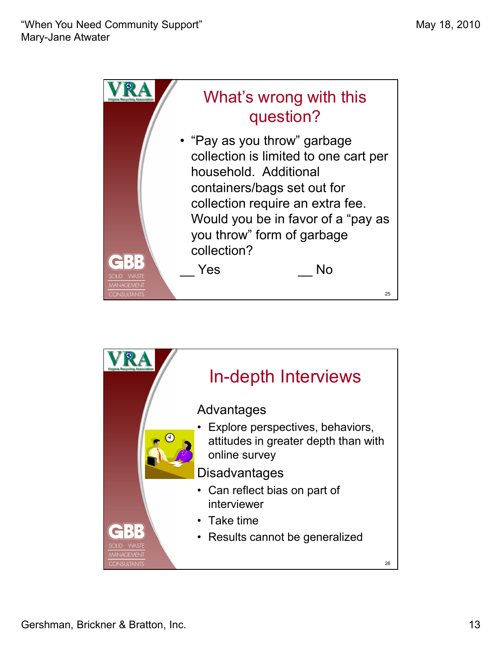

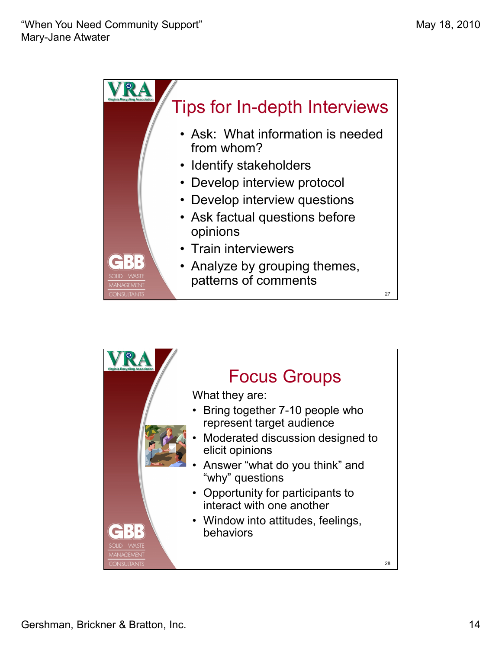

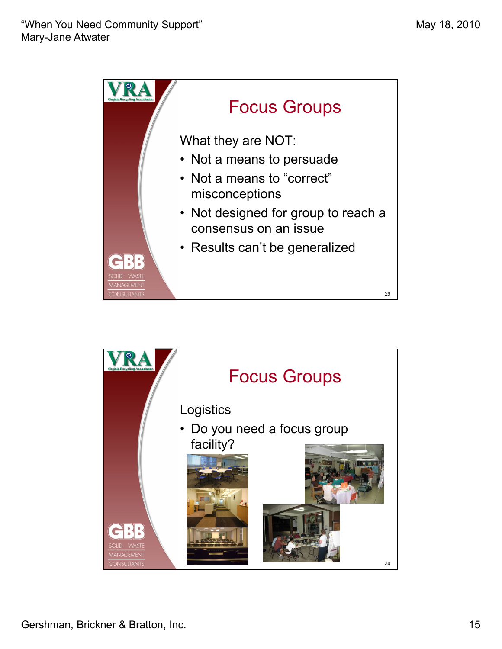

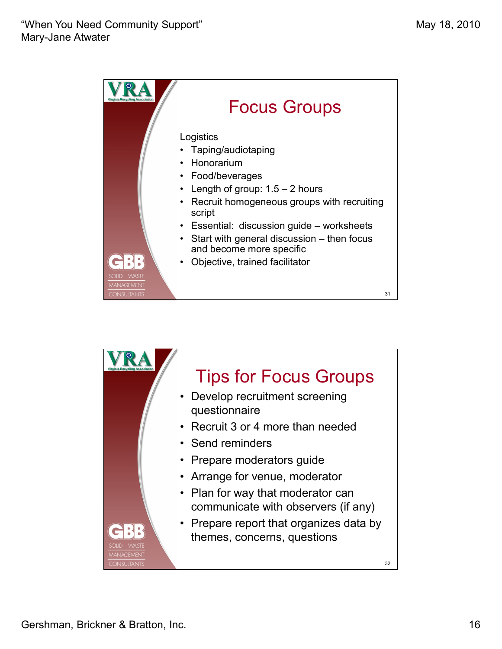